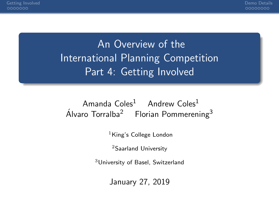## An Overview of the **International Planning Competition** Part 4: Getting Involved

#### Amanda Coles<sup>1</sup> Andrew Coles<sup>1</sup> Álvaro Torralba<sup>2</sup> Florian Pommerening<sup>3</sup>

 $<sup>1</sup>$ King's College London</sup>

<sup>2</sup>Saarland University

<sup>3</sup>University of Basel, Switzerland

January 27, 2019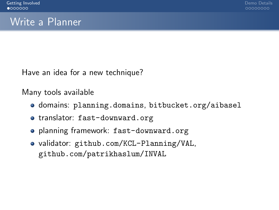#### <span id="page-1-0"></span>Write a Planner

Have an idea for a new technique?

Many tools available

- **o** domains: <planning.domains>, <bitbucket.org/aibasel>
- translator: <fast-downward.org>
- planning framework: <fast-downward.org>
- validator: <github.com/KCL-Planning/VAL>, <github.com/patrikhaslum/INVAL>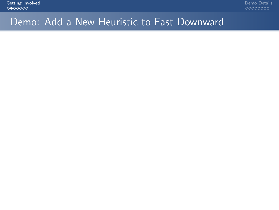#### Demo: Add a New Heuristic to Fast Downward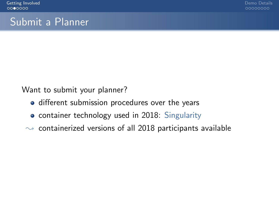#### Submit a Planner

Want to submit your planner?

- different submission procedures over the years
- container technology used in 2018: Singularity
- $\rightarrow$  containerized versions of all 2018 participants available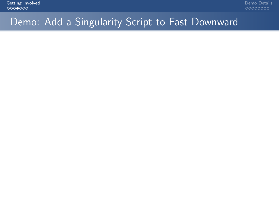#### Demo: Add a Singularity Script to Fast Downward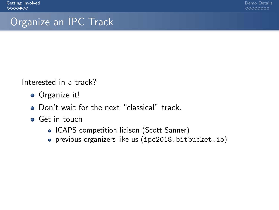00000000

#### Organize an IPC Track

Interested in a track?

- Organize it!
- Don't wait for the next "classical" track.
- **•** Get in touch
	- ICAPS competition liaison (Scott Sanner)
	- previous organizers like us (<ipc2018.bitbucket.io>)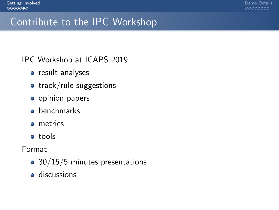0000000C

#### Contribute to the IPC Workshop

IPC Workshop at ICAPS 2019

- result analyses
- $\bullet$  track/rule suggestions
- **o** opinion papers
- **o** benchmarks
- **o** metrics
- tools

Format

- 30/15/5 minutes presentations
- **o** discussions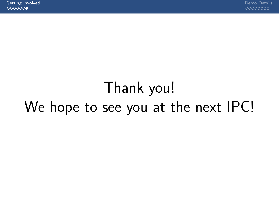# Thank you! We hope to see you at the next IPC!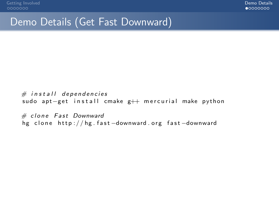#### <span id="page-8-0"></span>Demo Details (Get Fast Downward)

 $#$  in stall dependencies sudo apt-get install cmake g++ mercurial make python

 $#$  clone Fast Downward hg clone http://hg.fast-downward.org fast-downward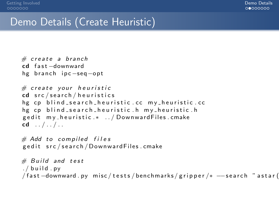#### Demo Details (Create Heuristic)

```
# create a branch
cd fast-downward
hg branch ipc-seg-opt
# create your heuristic
cd src/search/heuristics
hg cp blind_search_heuristic.cc my_heuristic.cc
hg cp blind search heuristic h my heuristic h
gedit my_heuristic .* ../ DownwardFiles.cmake
cd . / . / . .# Add to compiled files
ged it src/search/Downward Files.cmake
# Build and test
. / build . py
/ fast -downward . py misc/tests/benchmarks/gripper/* --search "astar (
```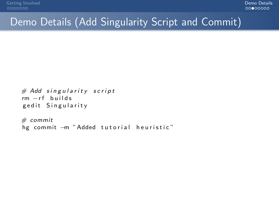### Demo Details (Add Singularity Script and Commit)

```
# Add singularity script
rm -rf builds
ged it Singularity
```

```
# commit
hg commit -m "Added tutorial heuristic"
```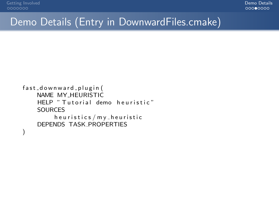#### Demo Details (Entry in DownwardFiles.cmake)

```
fast_downward_plugin(
    NAME MY_HEURISTIC
    HELP " Tutorial demo heuristic"
    SOURCES
         h e u r i s t i c s / m y _ h e u r i s t i c
    DEPENDS TASK PROPERTIES
)
```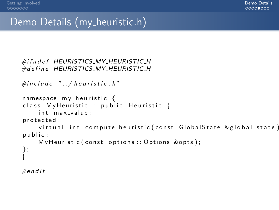#### Demo Details (my\_heuristic.h)

```
\#ifn def HEURISTICS_MY_HEURISTIC_H
#define HEURISTICS_MY_HEURISTIC_H
```

```
\#include "../ heuristic.h"
namespace my_heuristic {
class MyHeuristic : public Heuristic {
    int max_value;
p r o t e c t e d :
    virtual int compute_heuristic (const GlobalState & global_state)
public:
    My Heuristic (const options :: Options &opts);
} ;
```

```
#endif
```
}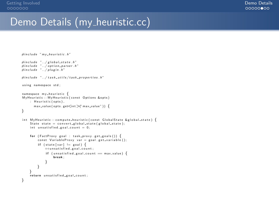#### Demo Details (my\_heuristic.cc)

```
\#include' " m v -h e u r istic . h"
\#include \, "../global-state.h"\#include "../option\_parser..h"\#include ". / plugin .h"
#in clude "../task_utils/task_properties.h"
using namespace std:
namespace my heuristic {
My Heuristic :: My Heuristic ( const Options &opts)
    : Heuristic (opts).
       max_value(opts.get<sup>′</sup>int<sup>′</sup>)<sup>′</sup>max_value") }
}
int M v H euristic :: compute h euristic ( const Global State & global state ) {
    State state = convert-global state (global state);
    int unsatisfied goal count = 0:
    for (FactProxy goal : task_proxy.get_goals()) \{const VariableProxy var = goal.get_variable();
         if (state [var] != goal) {
              ++u n s a t i s f i e d g o a l c o u n t ;
              if (unsatisfied_goal_count == max_value) {
                  break;
              }
         }
     }<br>return unsatisfied_goal_count;
}
```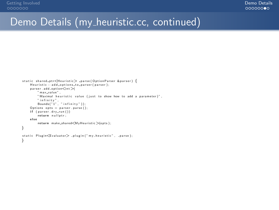#### Demo Details (my\_heuristic.cc, continued)

```
static shared_ptr<Heuristic> _parse(OptionParser &parser) {
    Heuristic :: add_options_to_parser (parser);
    parser. add_option\leq int" max_value",
        "Maximal heuristic value (just to show how to add a parameter)",
        " infinity".
        Bounds("1", "infinity") ;
    Options opts = parser.parse();
    if ( parser . drv_run ( ) )
        return nullotri
    e l s e
        return make shared<MvHeuristic >(opts):
}
static Plugin\leqEvaluator> n plugin ("my heuristic" , parse) ;
}
```